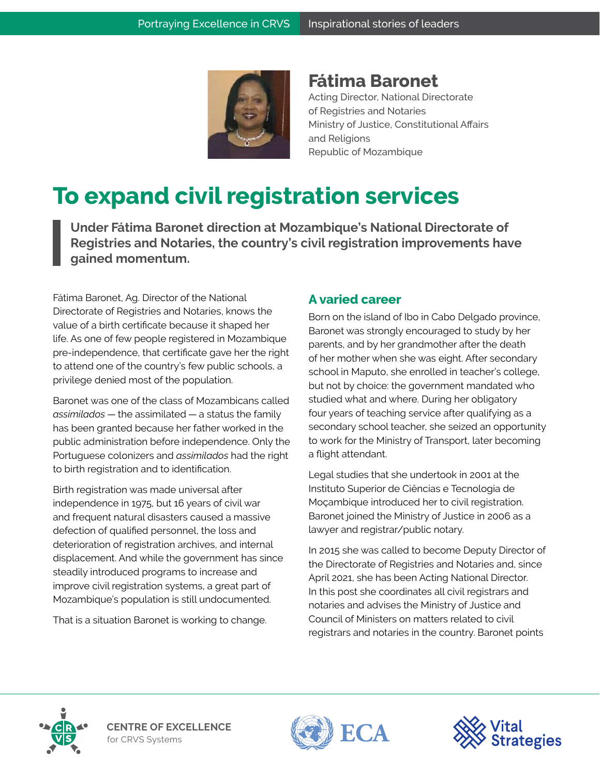

**Fátima Baronet**

Acting Director, National Directorate of Registries and Notaries Ministry of Justice, Constitutional Affairs and Religions Republic of Mozambique

## **To expand civil registration services**

**Under Fátima Baronet direction at Mozambique's National Directorate of Registries and Notaries, the country's civil registration improvements have gained momentum.** 

Fátima Baronet, Ag. Director of the National Directorate of Registries and Notaries, knows the value of a birth certificate because it shaped her life. As one of few people registered in Mozambique pre-independence, that certificate gave her the right to attend one of the country's few public schools, a privilege denied most of the population.

Baronet was one of the class of Mozambicans called *assimilados* — the assimilated — a status the family has been granted because her father worked in the public administration before independence. Only the Portuguese colonizers and *assimilados* had the right to birth registration and to identification.

Birth registration was made universal after independence in 1975, but 16 years of civil war and frequent natural disasters caused a massive defection of qualified personnel, the loss and deterioration of registration archives, and internal displacement. And while the government has since steadily introduced programs to increase and improve civil registration systems, a great part of Mozambique's population is still undocumented.

That is a situation Baronet is working to change.

## **A varied career**

Born on the island of Ibo in Cabo Delgado province, Baronet was strongly encouraged to study by her parents, and by her grandmother after the death of her mother when she was eight. After secondary school in Maputo, she enrolled in teacher's college, but not by choice: the government mandated who studied what and where. During her obligatory four years of teaching service after qualifying as a secondary school teacher, she seized an opportunity to work for the Ministry of Transport, later becoming a flight attendant.

Legal studies that she undertook in 2001 at the Instituto Superior de Ciências e Tecnologia de Moçambique introduced her to civil registration. Baronet joined the Ministry of Justice in 2006 as a lawyer and registrar/public notary.

In 2015 she was called to become Deputy Director of the Directorate of Registries and Notaries and, since April 2021, she has been Acting National Director. In this post she coordinates all civil registrars and notaries and advises the Ministry of Justice and Council of Ministers on matters related to civil registrars and notaries in the country. Baronet points